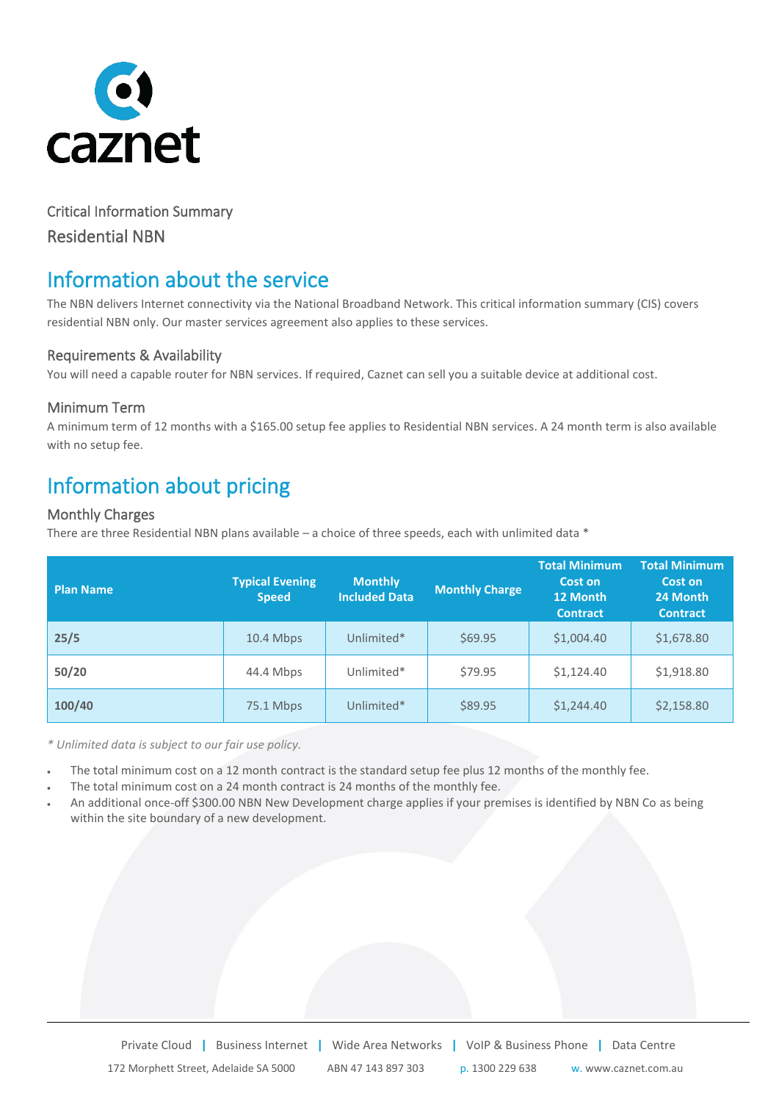

# Critical Information Summary Residential NBN

# Information about the service

The NBN delivers Internet connectivity via the National Broadband Network. This critical information summary (CIS) covers residential NBN only. Our master services agreement also applies to these services.

### Requirements & Availability

You will need a capable router for NBN services. If required, Caznet can sell you a suitable device at additional cost.

## Minimum Term

A minimum term of 12 months with a \$165.00 setup fee applies to Residential NBN services. A 24 month term is also available with no setup fee.

# Information about pricing

### Monthly Charges

There are three Residential NBN plans available – a choice of three speeds, each with unlimited data  $*$ 

| <b>Plan Name</b> | <b>Typical Evening</b><br><b>Speed</b> | <b>Monthly</b><br><b>Included Data</b> | <b>Monthly Charge</b> | <b>Total Minimum</b><br>Cost on<br>12 Month<br><b>Contract</b> | <b>Total Minimum</b><br>Cost on<br>24 Month<br><b>Contract</b> |
|------------------|----------------------------------------|----------------------------------------|-----------------------|----------------------------------------------------------------|----------------------------------------------------------------|
| 25/5             | 10.4 Mbps                              | Unlimited*                             | \$69.95               | \$1,004.40                                                     | \$1,678.80                                                     |
| 50/20            | 44.4 Mbps                              | Unlimited*                             | \$79.95               | \$1,124.40                                                     | \$1,918.80                                                     |
| 100/40           | 75.1 Mbps                              | Unlimited*                             | \$89.95               | \$1,244.40                                                     | \$2,158.80                                                     |

*\* Unlimited data is subject to our fair use policy.*

- The total minimum cost on a 12 month contract is the standard setup fee plus 12 months of the monthly fee.
- The total minimum cost on a 24 month contract is 24 months of the monthly fee.
- An additional once-off \$300.00 NBN New Development charge applies if your premises is identified by NBN Co as being within the site boundary of a new development.